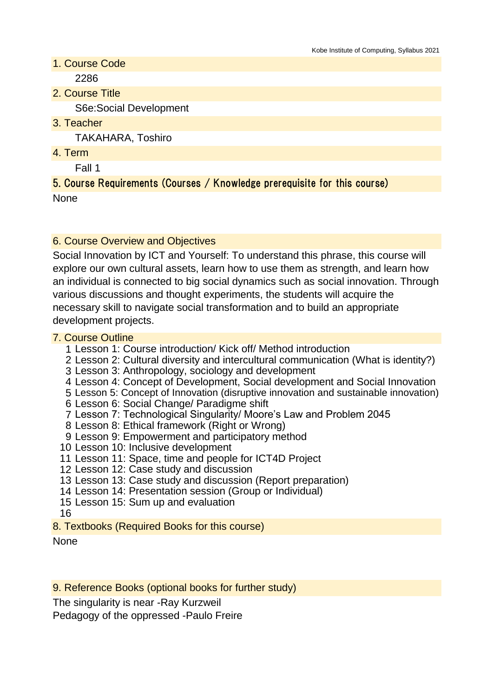- 1. Course Code 2286
- 2. Course Title

S6e:Social Development

3. Teacher

TAKAHARA, Toshiro

4. Term

Fall 1

### 5. Course Requirements (Courses / Knowledge prerequisite for this course) None

# 6. Course Overview and Objectives

Social Innovation by ICT and Yourself: To understand this phrase, this course will explore our own cultural assets, learn how to use them as strength, and learn how an individual is connected to big social dynamics such as social innovation. Through various discussions and thought experiments, the students will acquire the necessary skill to navigate social transformation and to build an appropriate development projects.

#### 7. Course Outline

- 1 Lesson 1: Course introduction/ Kick off/ Method introduction
- 2 Lesson 2: Cultural diversity and intercultural communication (What is identity?)
- 3 Lesson 3: Anthropology, sociology and development
- 4 Lesson 4: Concept of Development, Social development and Social Innovation
- 5 Lesson 5: Concept of Innovation (disruptive innovation and sustainable innovation)
- 6 Lesson 6: Social Change/ Paradigme shift
- 7 Lesson 7: Technological Singularity/ Moore's Law and Problem 2045
- 8 Lesson 8: Ethical framework (Right or Wrong)
- 9 Lesson 9: Empowerment and participatory method
- 10 Lesson 10: Inclusive development
- 11 Lesson 11: Space, time and people for ICT4D Project
- 12 Lesson 12: Case study and discussion
- 13 Lesson 13: Case study and discussion (Report preparation)
- 14 Lesson 14: Presentation session (Group or Individual)
- 15 Lesson 15: Sum up and evaluation

16

8. Textbooks (Required Books for this course)

#### None

9. Reference Books (optional books for further study)

The singularity is near -Ray Kurzweil

Pedagogy of the oppressed -Paulo Freire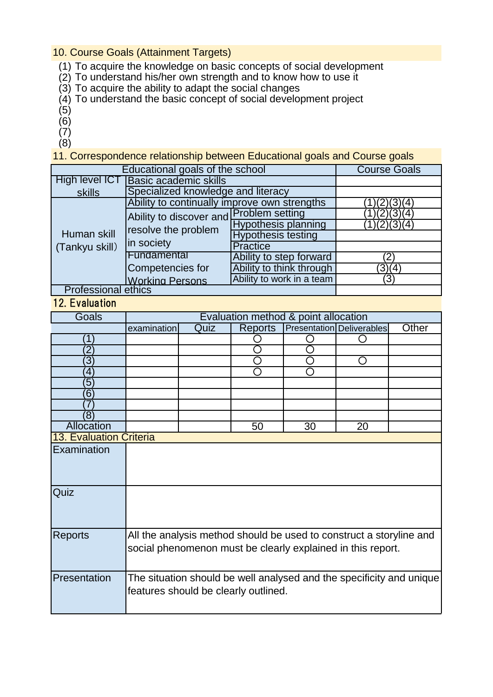#### 10. Course Goals (Attainment Targets)

- (1) To acquire the knowledge on basic concepts of social development
- (2) To understand his/her own strength and to know how to use it
- (3) To acquire the ability to adapt the social changes
- (4) To understand the basic concept of social development project
- (5)
- (6)
- (7)
- (8)

11. Correspondence relationship between Educational goals and Course goals

| Educational goals of the school | <b>Course Goals</b>                                                          |                            |               |
|---------------------------------|------------------------------------------------------------------------------|----------------------------|---------------|
| <b>High level ICT</b>           | <b>Basic academic skills</b>                                                 |                            |               |
| skills                          | Specialized knowledge and literacy                                           |                            |               |
| Human skill<br>(Tankyu skill)   | Ability to continually improve own strengths                                 | 31(4                       |               |
|                                 | Ability to discover and Problem setting<br>resolve the problem<br>in society |                            | (4            |
|                                 |                                                                              | <b>Hypothesis planning</b> | 1)(2)(3)(4)   |
|                                 |                                                                              | <b>Hypothesis testing</b>  |               |
|                                 |                                                                              | <b>Practice</b>            |               |
|                                 | Fundamental                                                                  | Ability to step forward    | $^{\prime}$ 2 |
|                                 | Competencies for                                                             | Ability to think through   | (3)(4)        |
|                                 | <b>Working Persons</b>                                                       | Ability to work in a team  | (3            |
| <b>Professional ethics</b>      |                                                                              |                            |               |

#### 12. Evaluation

| $L. L.$ Lydiadion              |                                                                                                                                    |      |                |    |                                  |       |
|--------------------------------|------------------------------------------------------------------------------------------------------------------------------------|------|----------------|----|----------------------------------|-------|
| Goals                          | Evaluation method & point allocation                                                                                               |      |                |    |                                  |       |
|                                | examination                                                                                                                        | Quiz | <b>Reports</b> |    | <b>Presentation Deliverables</b> | Other |
|                                |                                                                                                                                    |      |                |    |                                  |       |
| $\overline{2}$                 |                                                                                                                                    |      |                |    |                                  |       |
| $\overline{3}$                 |                                                                                                                                    |      | ◯              | ∩  | ( )                              |       |
| $\overline{4}$                 |                                                                                                                                    |      | ∩              |    |                                  |       |
| 5                              |                                                                                                                                    |      |                |    |                                  |       |
| $6^{\circ}$                    |                                                                                                                                    |      |                |    |                                  |       |
|                                |                                                                                                                                    |      |                |    |                                  |       |
| (8)                            |                                                                                                                                    |      |                |    |                                  |       |
| Allocation                     |                                                                                                                                    |      | 50             | 30 | 20                               |       |
| <b>13. Evaluation Criteria</b> |                                                                                                                                    |      |                |    |                                  |       |
| Examination                    |                                                                                                                                    |      |                |    |                                  |       |
| Quiz                           |                                                                                                                                    |      |                |    |                                  |       |
| <b>Reports</b>                 | All the analysis method should be used to construct a storyline and<br>social phenomenon must be clearly explained in this report. |      |                |    |                                  |       |
| Presentation                   | The situation should be well analysed and the specificity and unique<br>features should be clearly outlined.                       |      |                |    |                                  |       |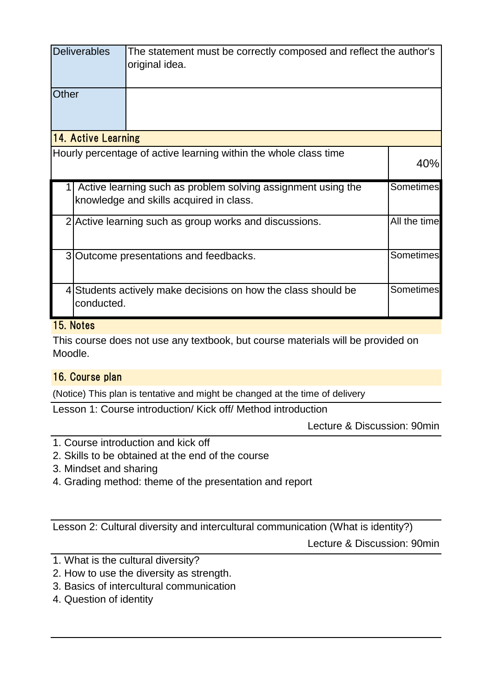|                            | <b>Deliverables</b>                                                                                                  | The statement must be correctly composed and reflect the author's<br>original idea. |                  |  |  |  |
|----------------------------|----------------------------------------------------------------------------------------------------------------------|-------------------------------------------------------------------------------------|------------------|--|--|--|
| Other                      |                                                                                                                      |                                                                                     |                  |  |  |  |
| <b>14. Active Learning</b> |                                                                                                                      |                                                                                     |                  |  |  |  |
|                            |                                                                                                                      | Hourly percentage of active learning within the whole class time                    | 40%              |  |  |  |
|                            | Sometimes<br>Active learning such as problem solving assignment using the<br>knowledge and skills acquired in class. |                                                                                     |                  |  |  |  |
|                            | All the time<br>2 Active learning such as group works and discussions.                                               |                                                                                     |                  |  |  |  |
|                            | Sometimes<br>3 Outcome presentations and feedbacks.                                                                  |                                                                                     |                  |  |  |  |
|                            | conducted.                                                                                                           | 4 Students actively make decisions on how the class should be                       | <b>Sometimes</b> |  |  |  |

# 15. Notes

This course does not use any textbook, but course materials will be provided on Moodle.

# 16. Course plan

(Notice) This plan is tentative and might be changed at the time of delivery

Lesson 1: Course introduction/ Kick off/ Method introduction

Lecture & Discussion: 90min

- 1. Course introduction and kick off
- 2. Skills to be obtained at the end of the course
- 3. Mindset and sharing
- 4. Grading method: theme of the presentation and report

Lesson 2: Cultural diversity and intercultural communication (What is identity?)

Lecture & Discussion: 90min

- 1. What is the cultural diversity?
- 2. How to use the diversity as strength.
- 3. Basics of intercultural communication
- 4. Question of identity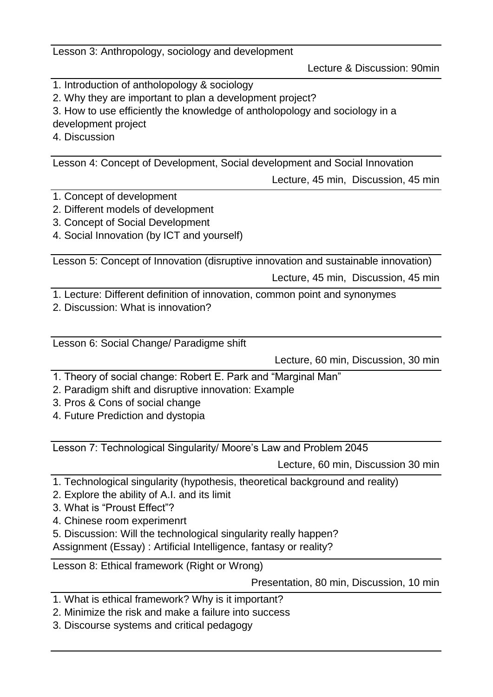Lesson 3: Anthropology, sociology and development

Lecture & Discussion: 90min

- 1. Introduction of antholopology & sociology
- 2. Why they are important to plan a development project?
- 3. How to use efficiently the knowledge of antholopology and sociology in a

development project

4. Discussion

Lesson 4: Concept of Development, Social development and Social Innovation

Lecture, 45 min, Discussion, 45 min

- 1. Concept of development
- 2. Different models of development
- 3. Concept of Social Development
- 4. Social Innovation (by ICT and yourself)

Lesson 5: Concept of Innovation (disruptive innovation and sustainable innovation)

Lecture, 45 min, Discussion, 45 min

1. Lecture: Different definition of innovation, common point and synonymes

2. Discussion: What is innovation?

Lesson 6: Social Change/ Paradigme shift

Lecture, 60 min, Discussion, 30 min

- 1. Theory of social change: Robert E. Park and "Marginal Man"
- 2. Paradigm shift and disruptive innovation: Example
- 3. Pros & Cons of social change
- 4. Future Prediction and dystopia

Lesson 7: Technological Singularity/ Moore's Law and Problem 2045

Lecture, 60 min, Discussion 30 min

- 1. Technological singularity (hypothesis, theoretical background and reality)
- 2. Explore the ability of A.I. and its limit
- 3. What is "Proust Effect"?
- 4. Chinese room experimenrt
- 5. Discussion: Will the technological singularity really happen?

Assignment (Essay) : Artificial Intelligence, fantasy or reality?

Lesson 8: Ethical framework (Right or Wrong)

Presentation, 80 min, Discussion, 10 min

- 1. What is ethical framework? Why is it important?
- 2. Minimize the risk and make a failure into success
- 3. Discourse systems and critical pedagogy